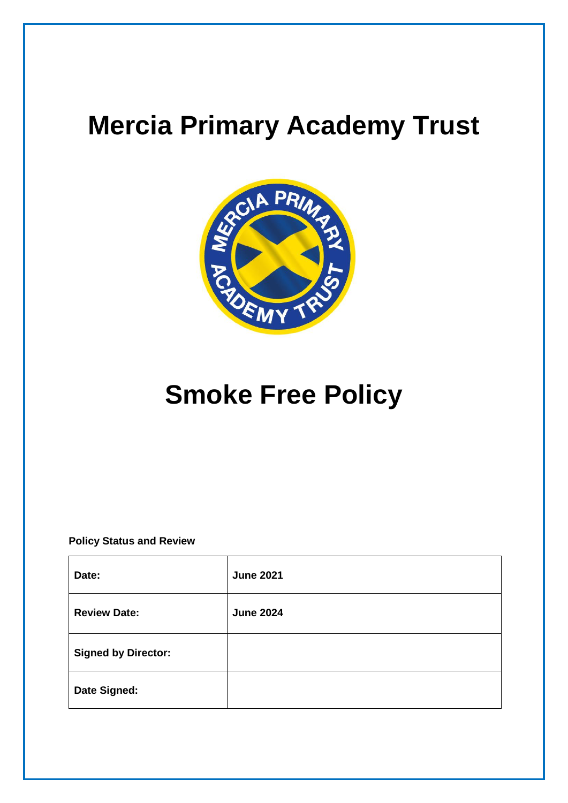# **Mercia Primary Academy Trust**



# **Smoke Free Policy**

**Policy Status and Review**

| Date:                      | <b>June 2021</b> |
|----------------------------|------------------|
| <b>Review Date:</b>        | <b>June 2024</b> |
| <b>Signed by Director:</b> |                  |
| Date Signed:               |                  |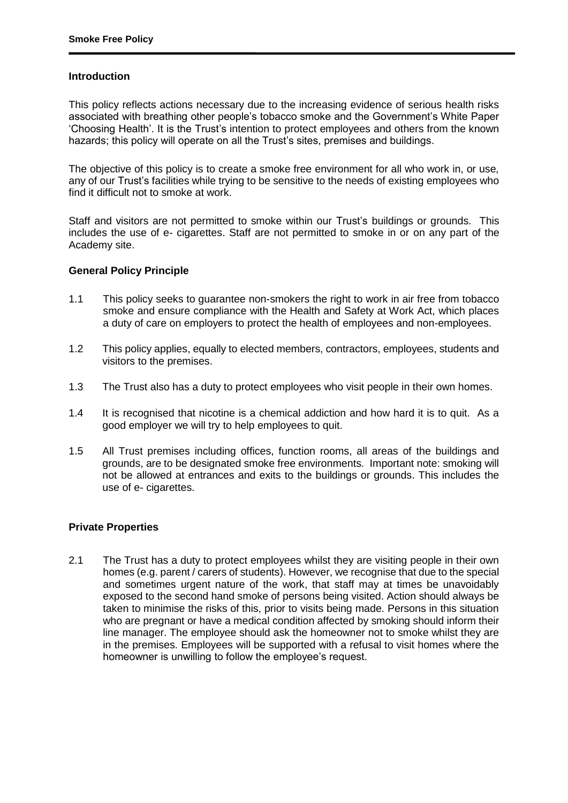## **Introduction**

This policy reflects actions necessary due to the increasing evidence of serious health risks associated with breathing other people's tobacco smoke and the Government's White Paper 'Choosing Health'. It is the Trust's intention to protect employees and others from the known hazards; this policy will operate on all the Trust's sites, premises and buildings.

The objective of this policy is to create a smoke free environment for all who work in, or use, any of our Trust's facilities while trying to be sensitive to the needs of existing employees who find it difficult not to smoke at work.

Staff and visitors are not permitted to smoke within our Trust's buildings or grounds. This includes the use of e- cigarettes. Staff are not permitted to smoke in or on any part of the Academy site.

## **General Policy Principle**

- 1.1 This policy seeks to guarantee non-smokers the right to work in air free from tobacco smoke and ensure compliance with the Health and Safety at Work Act, which places a duty of care on employers to protect the health of employees and non-employees.
- 1.2 This policy applies, equally to elected members, contractors, employees, students and visitors to the premises.
- 1.3 The Trust also has a duty to protect employees who visit people in their own homes.
- 1.4 It is recognised that nicotine is a chemical addiction and how hard it is to quit. As a good employer we will try to help employees to quit.
- 1.5 All Trust premises including offices, function rooms, all areas of the buildings and grounds, are to be designated smoke free environments. Important note: smoking will not be allowed at entrances and exits to the buildings or grounds. This includes the use of e- cigarettes.

#### **Private Properties**

2.1 The Trust has a duty to protect employees whilst they are visiting people in their own homes (e.g. parent / carers of students). However, we recognise that due to the special and sometimes urgent nature of the work, that staff may at times be unavoidably exposed to the second hand smoke of persons being visited. Action should always be taken to minimise the risks of this, prior to visits being made. Persons in this situation who are pregnant or have a medical condition affected by smoking should inform their line manager. The employee should ask the homeowner not to smoke whilst they are in the premises. Employees will be supported with a refusal to visit homes where the homeowner is unwilling to follow the employee's request.